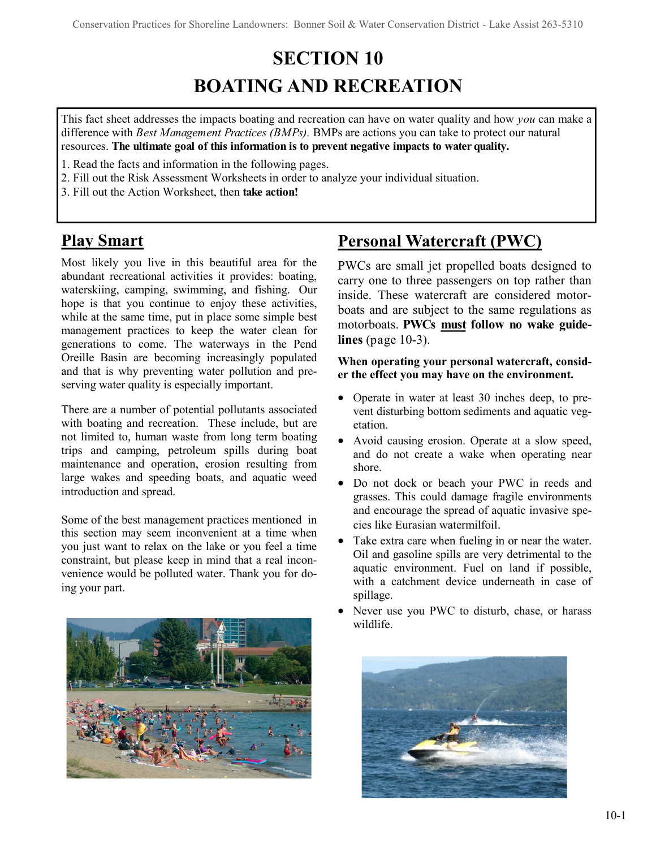# **SECTION 10 BOATING AND RECREATION**

This fact sheet addresses the impacts boating and recreation can have on water quality and how *you* can make a difference with *Best Management Practices (BMPs).* BMPs are actions you can take to protect our natural resources. **The ultimate goal of this information is to prevent negative impacts to water quality.**

- 1. Read the facts and information in the following pages.
- 2. Fill out the Risk Assessment Worksheets in order to analyze your individual situation.
- 3. Fill out the Action Worksheet, then **take action!**

# **Play Smart**

Most likely you live in this beautiful area for the abundant recreational activities it provides: boating, waterskiing, camping, swimming, and fishing. Our hope is that you continue to enjoy these activities, while at the same time, put in place some simple best management practices to keep the water clean for generations to come. The waterways in the Pend Oreille Basin are becoming increasingly populated and that is why preventing water pollution and preserving water quality is especially important.

There are a number of potential pollutants associated with boating and recreation. These include, but are not limited to, human waste from long term boating trips and camping, petroleum spills during boat maintenance and operation, erosion resulting from large wakes and speeding boats, and aquatic weed introduction and spread.

Some of the best management practices mentioned in this section may seem inconvenient at a time when you just want to relax on the lake or you feel a time constraint, but please keep in mind that a real inconvenience would be polluted water. Thank you for doing your part.



# **Personal Watercraft (PWC)**

PWCs are small jet propelled boats designed to carry one to three passengers on top rather than inside. These watercraft are considered motorboats and are subject to the same regulations as motorboats. **PWCs must follow no wake guidelines** (page 10-3).

### **When operating your personal watercraft, consider the effect you may have on the environment.**

- Operate in water at least 30 inches deep, to prevent disturbing bottom sediments and aquatic vegetation.
- Avoid causing erosion. Operate at a slow speed, and do not create a wake when operating near shore.
- Do not dock or beach your PWC in reeds and grasses. This could damage fragile environments and encourage the spread of aquatic invasive species like Eurasian watermilfoil.
- Take extra care when fueling in or near the water. Oil and gasoline spills are very detrimental to the aquatic environment. Fuel on land if possible, with a catchment device underneath in case of spillage.
- Never use you PWC to disturb, chase, or harass wildlife.

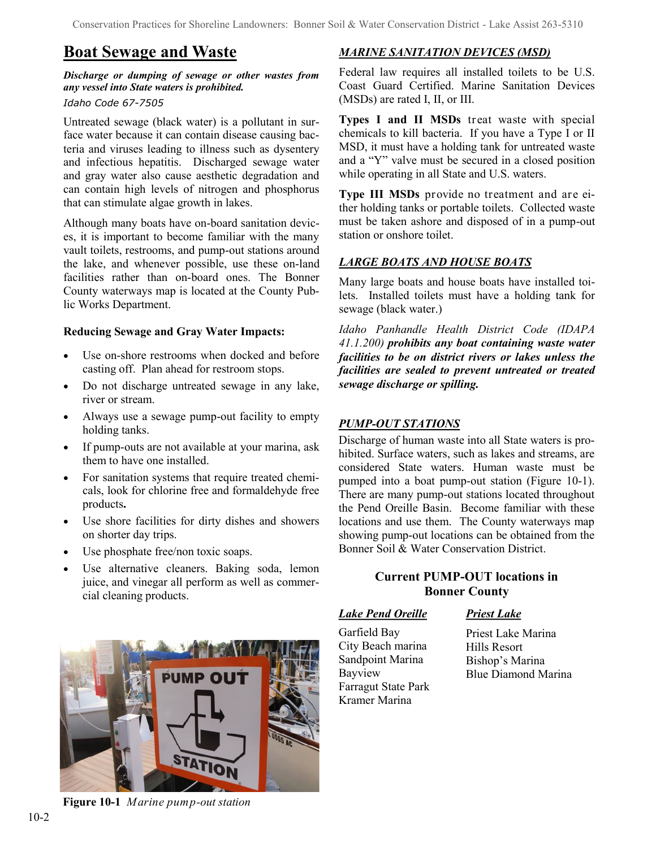### **Boat Sewage and Waste**

### *Discharge or dumping of sewage or other wastes from any vessel into State waters is prohibited.*

### *Idaho Code 67-7505*

Untreated sewage (black water) is a pollutant in surface water because it can contain disease causing bacteria and viruses leading to illness such as dysentery and infectious hepatitis. Discharged sewage water and gray water also cause aesthetic degradation and can contain high levels of nitrogen and phosphorus that can stimulate algae growth in lakes.

Although many boats have on-board sanitation devices, it is important to become familiar with the many vault toilets, restrooms, and pump-out stations around the lake, and whenever possible, use these on-land facilities rather than on-board ones. The Bonner County waterways map is located at the County Public Works Department.

### **Reducing Sewage and Gray Water Impacts:**

- Use on-shore restrooms when docked and before casting off. Plan ahead for restroom stops.
- Do not discharge untreated sewage in any lake, river or stream.
- Always use a sewage pump-out facility to empty holding tanks.
- If pump-outs are not available at your marina, ask them to have one installed.
- For sanitation systems that require treated chemicals, look for chlorine free and formaldehyde free products**.**
- Use shore facilities for dirty dishes and showers on shorter day trips.
- Use phosphate free/non toxic soaps.
- Use alternative cleaners. Baking soda, lemon juice, and vinegar all perform as well as commercial cleaning products.



**Figure 10-1** *Marine pump-out station*

### *MARINE SANITATION DEVICES (MSD)*

Federal law requires all installed toilets to be U.S. Coast Guard Certified. Marine Sanitation Devices (MSDs) are rated I, II, or III.

**Types I and II MSDs** treat waste with special chemicals to kill bacteria. If you have a Type I or II MSD, it must have a holding tank for untreated waste and a "Y" valve must be secured in a closed position while operating in all State and U.S. waters.

**Type III MSDs** provide no treatment and are either holding tanks or portable toilets. Collected waste must be taken ashore and disposed of in a pump-out station or onshore toilet.

### *LARGE BOATS AND HOUSE BOATS*

Many large boats and house boats have installed toilets. Installed toilets must have a holding tank for sewage (black water.)

*Idaho Panhandle Health District Code (IDAPA 41.1.200) prohibits any boat containing waste water facilities to be on district rivers or lakes unless the facilities are sealed to prevent untreated or treated sewage discharge or spilling.*

### *PUMP-OUT STATIONS*

Discharge of human waste into all State waters is prohibited. Surface waters, such as lakes and streams, are considered State waters. Human waste must be pumped into a boat pump-out station (Figure 10-1). There are many pump-out stations located throughout the Pend Oreille Basin. Become familiar with these locations and use them. The County waterways map showing pump-out locations can be obtained from the Bonner Soil & Water Conservation District.

### **Current PUMP-OUT locations in Bonner County**

*Lake Pend Oreille*

Garfield Bay City Beach marina Sandpoint Marina Bayview Farragut State Park Kramer Marina

### *Priest Lake*

Priest Lake Marina Hills Resort Bishop's Marina Blue Diamond Marina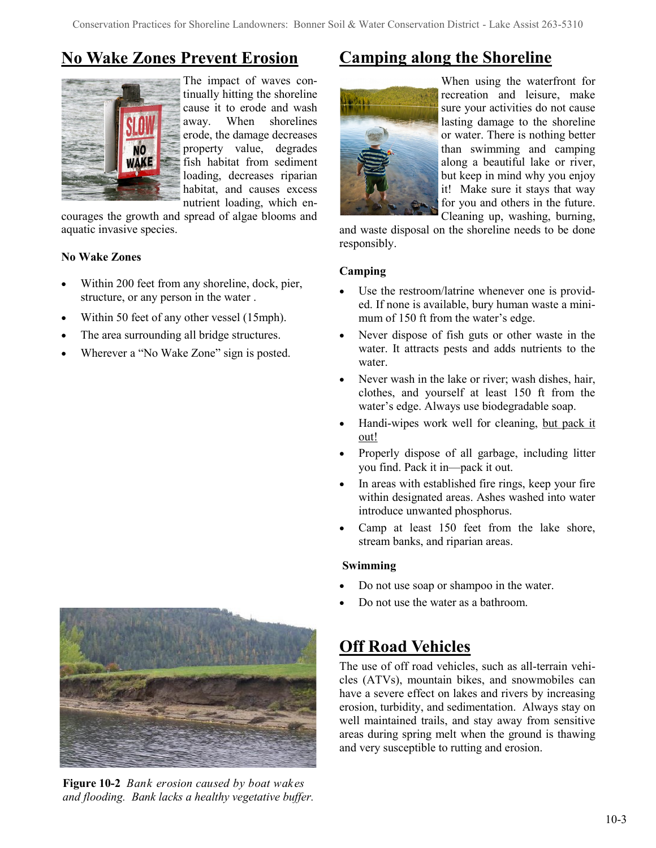# **No Wake Zones Prevent Erosion**



The impact of waves continually hitting the shoreline cause it to erode and wash away. When shorelines erode, the damage decreases property value, degrades fish habitat from sediment loading, decreases riparian habitat, and causes excess nutrient loading, which en-

courages the growth and spread of algae blooms and aquatic invasive species.

### **No Wake Zones**

- Within 200 feet from any shoreline, dock, pier, structure, or any person in the water .
- Within 50 feet of any other vessel (15mph).
- The area surrounding all bridge structures.
- Wherever a "No Wake Zone" sign is posted.



**Figure 10-2** *Bank erosion caused by boat wakes and flooding. Bank lacks a healthy vegetative buffer.*

# **Camping along the Shoreline**



When using the waterfront for recreation and leisure, make sure your activities do not cause lasting damage to the shoreline or water. There is nothing better than swimming and camping along a beautiful lake or river, but keep in mind why you enjoy it! Make sure it stays that way for you and others in the future. Cleaning up, washing, burning,

and waste disposal on the shoreline needs to be done responsibly.

### **Camping**

- Use the restroom/latrine whenever one is provided. If none is available, bury human waste a minimum of 150 ft from the water's edge.
- Never dispose of fish guts or other waste in the water. It attracts pests and adds nutrients to the water.
- Never wash in the lake or river; wash dishes, hair, clothes, and yourself at least 150 ft from the water's edge. Always use biodegradable soap.
- Handi-wipes work well for cleaning, but pack it out!
- Properly dispose of all garbage, including litter you find. Pack it in—pack it out.
- In areas with established fire rings, keep your fire within designated areas. Ashes washed into water introduce unwanted phosphorus.
- Camp at least 150 feet from the lake shore, stream banks, and riparian areas.

### **Swimming**

- Do not use soap or shampoo in the water.
- Do not use the water as a bathroom.

# **Off Road Vehicles**

The use of off road vehicles, such as all-terrain vehicles (ATVs), mountain bikes, and snowmobiles can have a severe effect on lakes and rivers by increasing erosion, turbidity, and sedimentation. Always stay on well maintained trails, and stay away from sensitive areas during spring melt when the ground is thawing and very susceptible to rutting and erosion.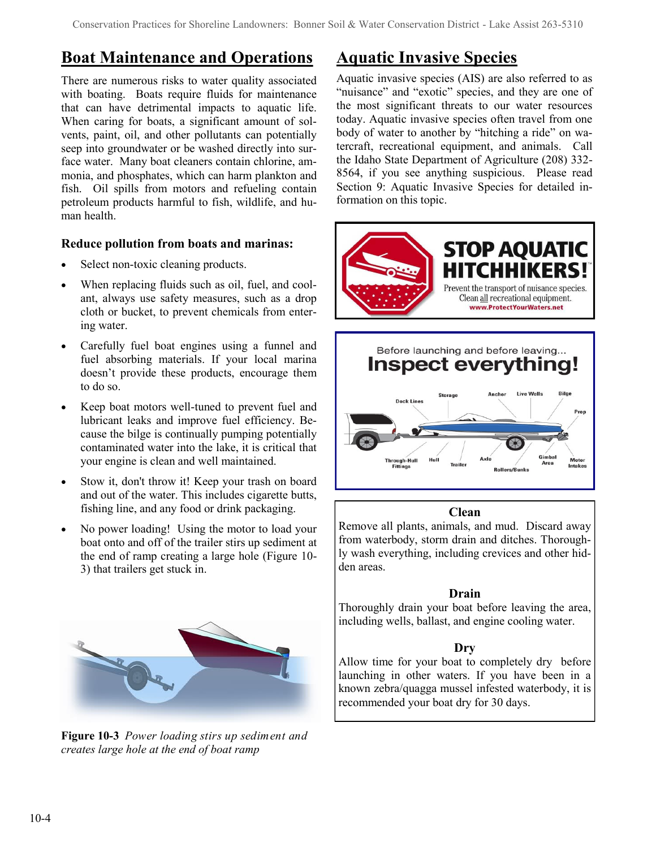### **Boat Maintenance and Operations**

There are numerous risks to water quality associated with boating. Boats require fluids for maintenance that can have detrimental impacts to aquatic life. When caring for boats, a significant amount of solvents, paint, oil, and other pollutants can potentially seep into groundwater or be washed directly into surface water. Many boat cleaners contain chlorine, ammonia, and phosphates, which can harm plankton and fish. Oil spills from motors and refueling contain petroleum products harmful to fish, wildlife, and human health

### **Reduce pollution from boats and marinas:**

- Select non-toxic cleaning products.
- When replacing fluids such as oil, fuel, and coolant, always use safety measures, such as a drop cloth or bucket, to prevent chemicals from entering water.
- Carefully fuel boat engines using a funnel and fuel absorbing materials. If your local marina doesn't provide these products, encourage them to do so.
- Keep boat motors well-tuned to prevent fuel and lubricant leaks and improve fuel efficiency. Because the bilge is continually pumping potentially contaminated water into the lake, it is critical that your engine is clean and well maintained.
- Stow it, don't throw it! Keep your trash on board and out of the water. This includes cigarette butts, fishing line, and any food or drink packaging.
- No power loading! Using the motor to load your boat onto and off of the trailer stirs up sediment at the end of ramp creating a large hole (Figure 10- 3) that trailers get stuck in.



**Figure 10-3** *Power loading stirs up sediment and creates large hole at the end of boat ramp*

# **Aquatic Invasive Species**

Aquatic invasive species (AIS) are also referred to as "nuisance" and "exotic" species, and they are one of the most significant threats to our water resources today. Aquatic invasive species often travel from one body of water to another by "hitching a ride" on watercraft, recreational equipment, and animals. Call the Idaho State Department of Agriculture (208) 332- 8564, if you see anything suspicious. Please read Section 9: Aquatic Invasive Species for detailed information on this topic.



### **Clean**

rough-Hull<br>Fittings

Gimbal

Motor

Remove all plants, animals, and mud. Discard away from waterbody, storm drain and ditches. Thoroughly wash everything, including crevices and other hidden areas.

### **Drain**

Thoroughly drain your boat before leaving the area, including wells, ballast, and engine cooling water.

### **Dry**

Allow time for your boat to completely dry before launching in other waters. If you have been in a known zebra/quagga mussel infested waterbody, it is recommended your boat dry for 30 days.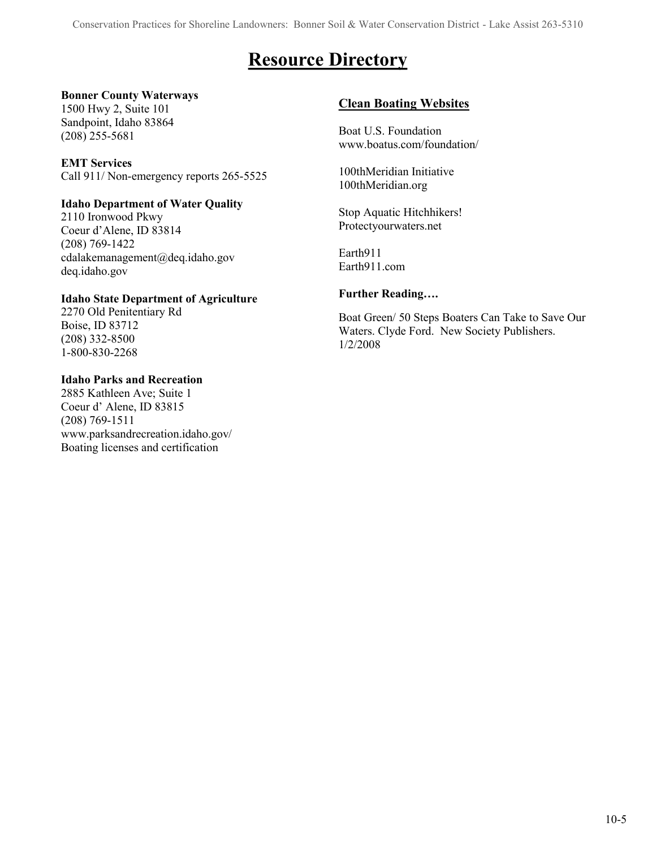# **Resource Directory**

### **Bonner County Waterways**

1500 Hwy 2, Suite 101 Sandpoint, Idaho 83864 (208) 255-5681

### **EMT Services**

Call 911/ Non-emergency reports 265-5525

### **Idaho Department of Water Quality**

2110 Ironwood Pkwy Coeur d'Alene, ID 83814 (208) 769-1422 cdalakemanagement@deq.idaho.gov deq.idaho.gov

### **Idaho State Department of Agriculture**

2270 Old Penitentiary Rd Boise, ID 83712 (208) 332-8500 1-800-830-2268

### **Idaho Parks and Recreation**

2885 Kathleen Ave; Suite 1 Coeur d' Alene, ID 83815 (208) 769-1511 www.parksandrecreation.idaho.gov/ Boating licenses and certification

### **Clean Boating Websites**

Boat U.S. Foundation www.boatus.com/foundation/

100thMeridian Initiative 100thMeridian.org

Stop Aquatic Hitchhikers! Protectyourwaters.net

Earth911 Earth911.com

### **Further Reading….**

Boat Green/ 50 Steps Boaters Can Take to Save Our Waters. Clyde Ford. New Society Publishers. 1/2/2008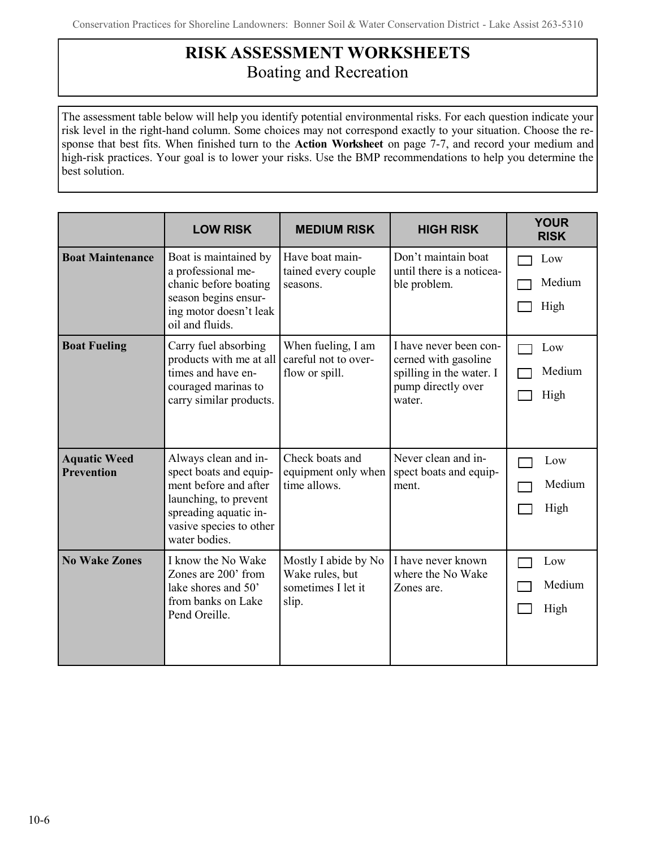# **RISK ASSESSMENT WORKSHEETS** Boating and Recreation

The assessment table below will help you identify potential environmental risks. For each question indicate your risk level in the right-hand column. Some choices may not correspond exactly to your situation. Choose the response that best fits. When finished turn to the **Action Worksheet** on page 7-7, and record your medium and high-risk practices. Your goal is to lower your risks. Use the BMP recommendations to help you determine the best solution.

|                                          | <b>LOW RISK</b>                                                                                                                                                       | <b>MEDIUM RISK</b>                                                     | <b>HIGH RISK</b>                                                                                           | <b>YOUR</b><br><b>RISK</b> |
|------------------------------------------|-----------------------------------------------------------------------------------------------------------------------------------------------------------------------|------------------------------------------------------------------------|------------------------------------------------------------------------------------------------------------|----------------------------|
| <b>Boat Maintenance</b>                  | Boat is maintained by<br>a professional me-<br>chanic before boating<br>season begins ensur-<br>ing motor doesn't leak<br>oil and fluids.                             | Have boat main-<br>tained every couple<br>seasons.                     | Don't maintain boat<br>until there is a noticea-<br>ble problem.                                           | Low<br>Medium<br>High      |
| <b>Boat Fueling</b>                      | Carry fuel absorbing<br>products with me at all<br>times and have en-<br>couraged marinas to<br>carry similar products.                                               | When fueling, I am<br>careful not to over-<br>flow or spill.           | I have never been con-<br>cerned with gasoline<br>spilling in the water. I<br>pump directly over<br>water. | Low<br>Medium<br>High      |
| <b>Aquatic Weed</b><br><b>Prevention</b> | Always clean and in-<br>spect boats and equip-<br>ment before and after<br>launching, to prevent<br>spreading aquatic in-<br>vasive species to other<br>water bodies. | Check boats and<br>equipment only when<br>time allows.                 | Never clean and in-<br>spect boats and equip-<br>ment.                                                     | Low<br>Medium<br>High      |
| <b>No Wake Zones</b>                     | I know the No Wake<br>Zones are 200' from<br>lake shores and 50'<br>from banks on Lake<br>Pend Oreille.                                                               | Mostly I abide by No<br>Wake rules, but<br>sometimes I let it<br>slip. | I have never known<br>where the No Wake<br>Zones are.                                                      | Low<br>Medium<br>High      |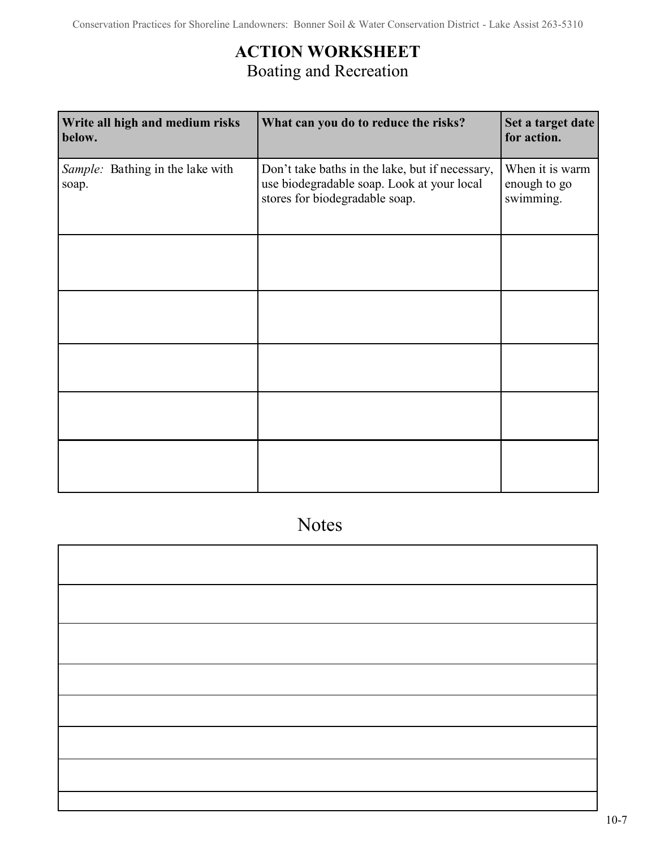# **ACTION WORKSHEET** Boating and Recreation

| Write all high and medium risks<br>below. | What can you do to reduce the risks?                                                                                            | Set a target date<br>for action.             |
|-------------------------------------------|---------------------------------------------------------------------------------------------------------------------------------|----------------------------------------------|
| Sample: Bathing in the lake with<br>soap. | Don't take baths in the lake, but if necessary,<br>use biodegradable soap. Look at your local<br>stores for biodegradable soap. | When it is warm<br>enough to go<br>swimming. |
|                                           |                                                                                                                                 |                                              |
|                                           |                                                                                                                                 |                                              |
|                                           |                                                                                                                                 |                                              |
|                                           |                                                                                                                                 |                                              |
|                                           |                                                                                                                                 |                                              |

Notes

I